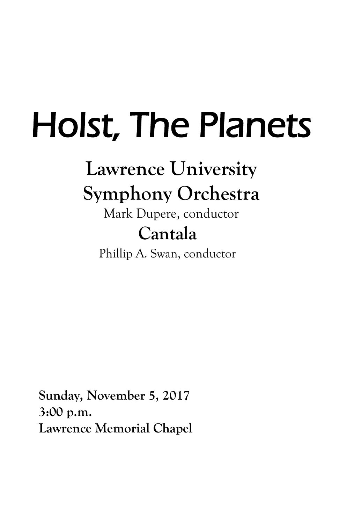# Holst, The Planets

## **Lawrence University Symphony Orchestra**

### Mark Dupere, conductor **Cantala**

Phillip A. Swan, conductor

**Sunday, November 5, 2017 3:00 p.m. Lawrence Memorial Chapel**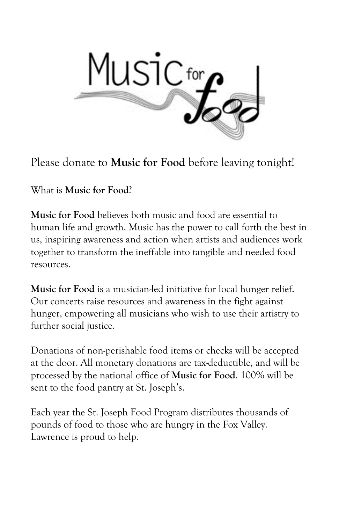

Please donate to **Music for Food** before leaving tonight!

What is **Music for Food**?

**Music for Food** believes both music and food are essential to human life and growth. Music has the power to call forth the best in us, inspiring awareness and action when artists and audiences work together to transform the ineffable into tangible and needed food resources.

**Music for Food** is a musician-led initiative for local hunger relief. Our concerts raise resources and awareness in the fight against hunger, empowering all musicians who wish to use their artistry to further social justice.

Donations of non-perishable food items or checks will be accepted at the door. All monetary donations are tax-deductible, and will be processed by the national office of **Music for Food**. 100% will be sent to the food pantry at St. Joseph's.

Each year the St. Joseph Food Program distributes thousands of pounds of food to those who are hungry in the Fox Valley. Lawrence is proud to help.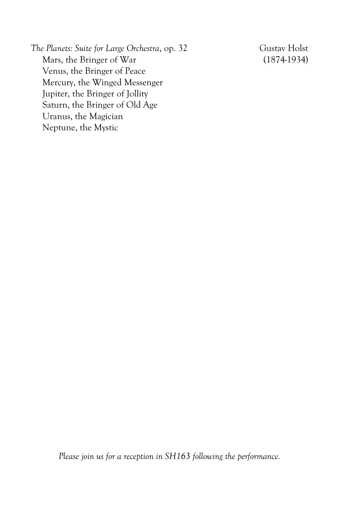*The Planets: Suite for Large Orchestra*, op. 32 Gustav Holst Mars, the Bringer of War (1874-1934) Venus, the Bringer of Peace Mercury, the Winged Messenger Jupiter, the Bringer of Jollity Saturn, the Bringer of Old Age Uranus, the Magician Neptune, the Mystic

*Please join us for a reception in SH163 following the performance.*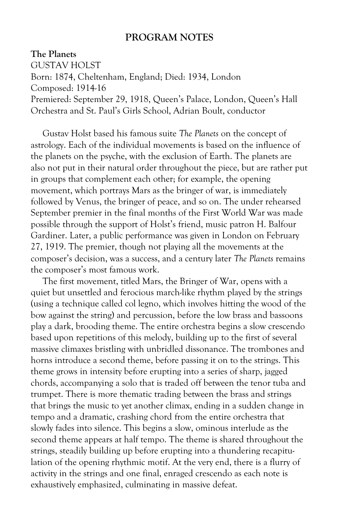#### **PROGRAM NOTES**

#### **The Planets**

GUSTAV HOLST Born: 1874, Cheltenham, England; Died: 1934, London Composed: 1914-16 Premiered: September 29, 1918, Queen's Palace, London, Queen's Hall Orchestra and St. Paul's Girls School, Adrian Boult, conductor

Gustav Holst based his famous suite *The Planets* on the concept of astrology. Each of the individual movements is based on the influence of the planets on the psyche, with the exclusion of Earth. The planets are also not put in their natural order throughout the piece, but are rather put in groups that complement each other; for example, the opening movement, which portrays Mars as the bringer of war, is immediately followed by Venus, the bringer of peace, and so on. The under rehearsed September premier in the final months of the First World War was made possible through the support of Holst's friend, music patron H. Balfour Gardiner. Later, a public performance was given in London on February 27, 1919. The premier, though not playing all the movements at the composer's decision, was a success, and a century later *The Planets* remains the composer's most famous work.

The first movement, titled Mars, the Bringer of War, opens with a quiet but unsettled and ferocious march-like rhythm played by the strings (using a technique called col legno, which involves hitting the wood of the bow against the string) and percussion, before the low brass and bassoons play a dark, brooding theme. The entire orchestra begins a slow crescendo based upon repetitions of this melody, building up to the first of several massive climaxes bristling with unbridled dissonance. The trombones and horns introduce a second theme, before passing it on to the strings. This theme grows in intensity before erupting into a series of sharp, jagged chords, accompanying a solo that is traded off between the tenor tuba and trumpet. There is more thematic trading between the brass and strings that brings the music to yet another climax, ending in a sudden change in tempo and a dramatic, crashing chord from the entire orchestra that slowly fades into silence. This begins a slow, ominous interlude as the second theme appears at half tempo. The theme is shared throughout the strings, steadily building up before erupting into a thundering recapitulation of the opening rhythmic motif. At the very end, there is a flurry of activity in the strings and one final, enraged crescendo as each note is exhaustively emphasized, culminating in massive defeat.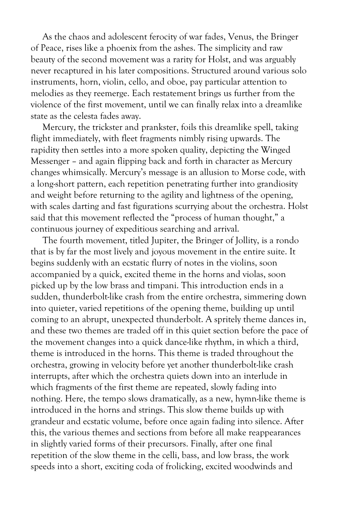As the chaos and adolescent ferocity of war fades, Venus, the Bringer of Peace, rises like a phoenix from the ashes. The simplicity and raw beauty of the second movement was a rarity for Holst, and was arguably never recaptured in his later compositions. Structured around various solo instruments, horn, violin, cello, and oboe, pay particular attention to melodies as they reemerge. Each restatement brings us further from the violence of the first movement, until we can finally relax into a dreamlike state as the celesta fades away.

Mercury, the trickster and prankster, foils this dreamlike spell, taking flight immediately, with fleet fragments nimbly rising upwards. The rapidity then settles into a more spoken quality, depicting the Winged Messenger – and again flipping back and forth in character as Mercury changes whimsically. Mercury's message is an allusion to Morse code, with a long-short pattern, each repetition penetrating further into grandiosity and weight before returning to the agility and lightness of the opening, with scales darting and fast figurations scurrying about the orchestra. Holst said that this movement reflected the "process of human thought," a continuous journey of expeditious searching and arrival.

The fourth movement, titled Jupiter, the Bringer of Jollity, is a rondo that is by far the most lively and joyous movement in the entire suite. It begins suddenly with an ecstatic flurry of notes in the violins, soon accompanied by a quick, excited theme in the horns and violas, soon picked up by the low brass and timpani. This introduction ends in a sudden, thunderbolt-like crash from the entire orchestra, simmering down into quieter, varied repetitions of the opening theme, building up until coming to an abrupt, unexpected thunderbolt. A spritely theme dances in, and these two themes are traded off in this quiet section before the pace of the movement changes into a quick dance-like rhythm, in which a third, theme is introduced in the horns. This theme is traded throughout the orchestra, growing in velocity before yet another thunderbolt-like crash interrupts, after which the orchestra quiets down into an interlude in which fragments of the first theme are repeated, slowly fading into nothing. Here, the tempo slows dramatically, as a new, hymn-like theme is introduced in the horns and strings. This slow theme builds up with grandeur and ecstatic volume, before once again fading into silence. After this, the various themes and sections from before all make reappearances in slightly varied forms of their precursors. Finally, after one final repetition of the slow theme in the celli, bass, and low brass, the work speeds into a short, exciting coda of frolicking, excited woodwinds and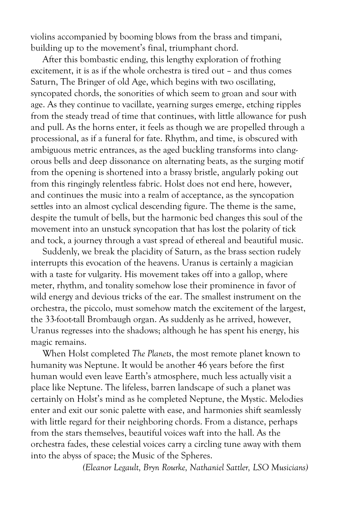violins accompanied by booming blows from the brass and timpani, building up to the movement's final, triumphant chord.

After this bombastic ending, this lengthy exploration of frothing excitement, it is as if the whole orchestra is tired out – and thus comes Saturn, The Bringer of old Age, which begins with two oscillating, syncopated chords, the sonorities of which seem to groan and sour with age. As they continue to vacillate, yearning surges emerge, etching ripples from the steady tread of time that continues, with little allowance for push and pull. As the horns enter, it feels as though we are propelled through a processional, as if a funeral for fate. Rhythm, and time, is obscured with ambiguous metric entrances, as the aged buckling transforms into clangorous bells and deep dissonance on alternating beats, as the surging motif from the opening is shortened into a brassy bristle, angularly poking out from this ringingly relentless fabric. Holst does not end here, however, and continues the music into a realm of acceptance, as the syncopation settles into an almost cyclical descending figure. The theme is the same, despite the tumult of bells, but the harmonic bed changes this soul of the movement into an unstuck syncopation that has lost the polarity of tick and tock, a journey through a vast spread of ethereal and beautiful music.

Suddenly, we break the placidity of Saturn, as the brass section rudely interrupts this evocation of the heavens. Uranus is certainly a magician with a taste for vulgarity. His movement takes off into a gallop, where meter, rhythm, and tonality somehow lose their prominence in favor of wild energy and devious tricks of the ear. The smallest instrument on the orchestra, the piccolo, must somehow match the excitement of the largest, the 33-foot-tall Brombaugh organ. As suddenly as he arrived, however, Uranus regresses into the shadows; although he has spent his energy, his magic remains.

When Holst completed *The Planets*, the most remote planet known to humanity was Neptune. It would be another 46 years before the first human would even leave Earth's atmosphere, much less actually visit a place like Neptune. The lifeless, barren landscape of such a planet was certainly on Holst's mind as he completed Neptune, the Mystic. Melodies enter and exit our sonic palette with ease, and harmonies shift seamlessly with little regard for their neighboring chords. From a distance, perhaps from the stars themselves, beautiful voices waft into the hall. As the orchestra fades, these celestial voices carry a circling tune away with them into the abyss of space; the Music of the Spheres.

*(Eleanor Legault, Bryn Rourke, Nathaniel Sattler, LSO Musicians)*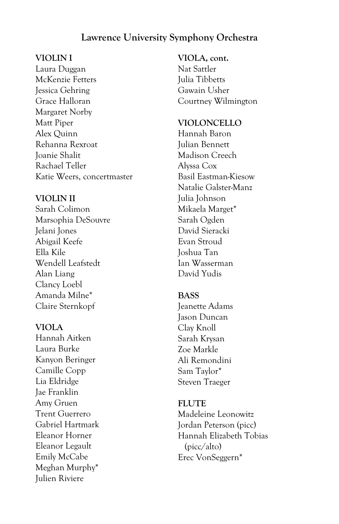#### **Lawrence University Symphony Orchestra**

#### **VIOLIN I**

Laura Duggan McKenzie Fetters Jessica Gehring Grace Halloran Margaret Norby Matt Piper Alex Quinn Rehanna Rexroat Joanie Shalit Rachael Teller Katie Weers, concertmaster

#### **VIOLIN II**

Sarah Colimon Marsophia DeSouvre Jelani Jones Abigail Keefe Ella Kile Wendell Leafstedt Alan Liang Clancy Loebl Amanda Milne\* Claire Sternkopf

#### **VIOLA**

Hannah Aitken Laura Burke Kanyon Beringer Camille Copp Lia Eldridge Jae Franklin Amy Gruen Trent Guerrero Gabriel Hartmark Eleanor Horner Eleanor Legault Emily McCabe Meghan Murphy\* Julien Riviere

#### **VIOLA, cont.**

Nat Sattler Julia Tibbetts Gawain Usher Courtney Wilmington

#### **VIOLONCELLO**

Hannah Baron Julian Bennett Madison Creech Alyssa Cox Basil Eastman-Kiesow Natalie Galster-Manz Julia Johnson Mikaela Marget\* Sarah Ogden David Sieracki Evan Stroud Joshua Tan Ian Wasserman David Yudis

#### **BASS**

Jeanette Adams Jason Duncan Clay Knoll Sarah Krysan Zoe Markle Ali Remondini Sam Taylor\* Steven Traeger

#### **FLUTE**

Madeleine Leonowitz Jordan Peterson (picc) Hannah Elizabeth Tobias (picc/alto) Erec VonSeggern\*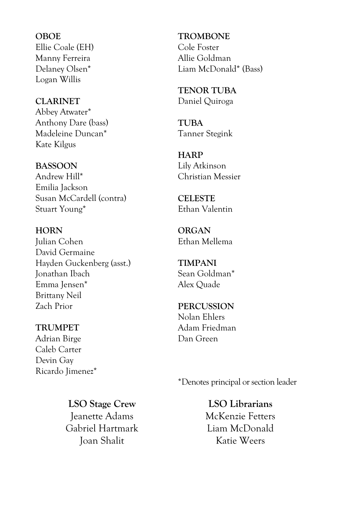**OBOE** Ellie Coale (EH) Manny Ferreira Delaney Olsen\* Logan Willis

**CLARINET** Abbey Atwater\* Anthony Dare (bass) Madeleine Duncan\* Kate Kilgus

**BASSOON** Andrew Hill\* Emilia Jackson Susan McCardell (contra) Stuart Young\*

**HORN** Julian Cohen David Germaine Hayden Guckenberg (asst.) Jonathan Ibach Emma Jensen\* Brittany Neil Zach Prior

**TRUMPET** Adrian Birge Caleb Carter Devin Gay Ricardo Jimenez\* **TROMBONE** Cole Foster Allie Goldman Liam McDonald\* (Bass)

**TENOR TUBA** Daniel Quiroga

**TUBA** Tanner Stegink

**HARP** Lily Atkinson Christian Messier

**CELESTE** Ethan Valentin

**ORGAN** Ethan Mellema

**TIMPANI** Sean Goldman\* Alex Quade

**PERCUSSION** Nolan Ehlers Adam Friedman Dan Green

\*Denotes principal or section leader

**LSO Stage Crew** Jeanette Adams Gabriel Hartmark Joan Shalit

**LSO Librarians** McKenzie Fetters Liam McDonald Katie Weers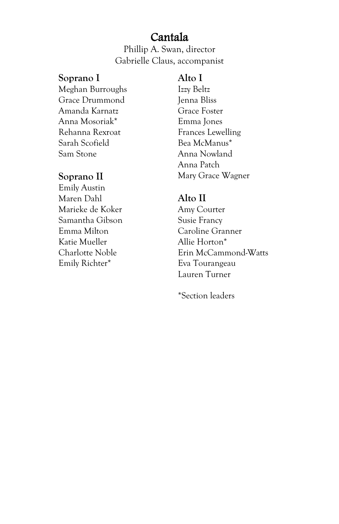#### Cantala

Phillip A. Swan, director Gabrielle Claus, accompanist

#### **Soprano I**

Meghan Burroughs Grace Drummond Amanda Karnatz Anna Mosoriak\* Rehanna Rexroat Sarah Scofield Sam Stone

#### **Soprano II**

Emily Austin Maren Dahl Marieke de Koker Samantha Gibson Emma Milton Katie Mueller Charlotte Noble Emily Richter\*

#### **Alto I**

Izzy Beltz Jenna Bliss Grace Foster Emma Jones Frances Lewelling Bea McManus\* Anna Nowland Anna Patch Mary Grace Wagner

#### **Alto II**

Amy Courter Susie Francy Caroline Granner Allie Horton\* Erin McCammond-Watts Eva Tourangeau Lauren Turner

\*Section leaders